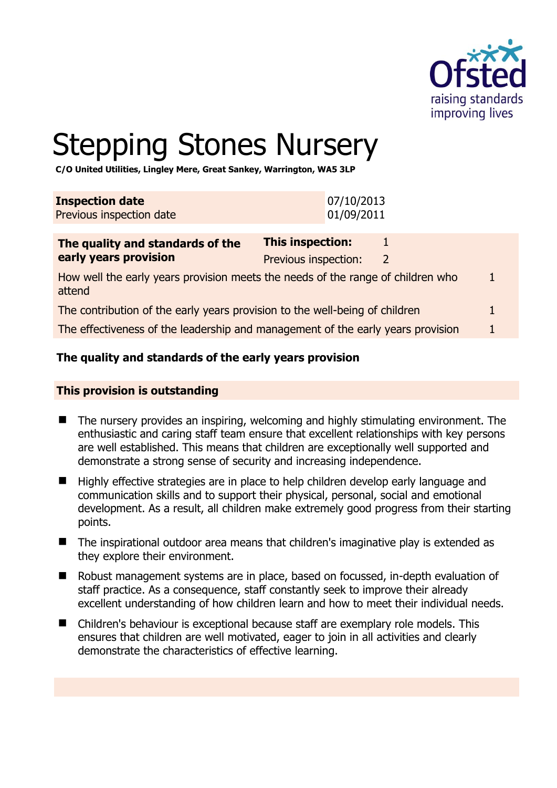

# Stepping Stones Nursery

**C/O United Utilities, Lingley Mere, Great Sankey, Warrington, WA5 3LP** 

| <b>Inspection date</b>   | 07/10/2013 |
|--------------------------|------------|
| Previous inspection date | 01/09/2011 |
|                          |            |

| The quality and standards of the                                                          | This inspection:     |               |  |
|-------------------------------------------------------------------------------------------|----------------------|---------------|--|
| early years provision                                                                     | Previous inspection: | $\mathcal{L}$ |  |
| How well the early years provision meets the needs of the range of children who<br>attend |                      |               |  |
| The contribution of the early years provision to the well-being of children               |                      |               |  |
| The effectiveness of the leadership and management of the early years provision           |                      |               |  |

# **The quality and standards of the early years provision**

#### **This provision is outstanding**

- The nursery provides an inspiring, welcoming and highly stimulating environment. The enthusiastic and caring staff team ensure that excellent relationships with key persons are well established. This means that children are exceptionally well supported and demonstrate a strong sense of security and increasing independence.
- Highly effective strategies are in place to help children develop early language and communication skills and to support their physical, personal, social and emotional development. As a result, all children make extremely good progress from their starting points.
- The inspirational outdoor area means that children's imaginative play is extended as they explore their environment.
- Robust management systems are in place, based on focussed, in-depth evaluation of staff practice. As a consequence, staff constantly seek to improve their already excellent understanding of how children learn and how to meet their individual needs.
- Children's behaviour is exceptional because staff are exemplary role models. This ensures that children are well motivated, eager to join in all activities and clearly demonstrate the characteristics of effective learning.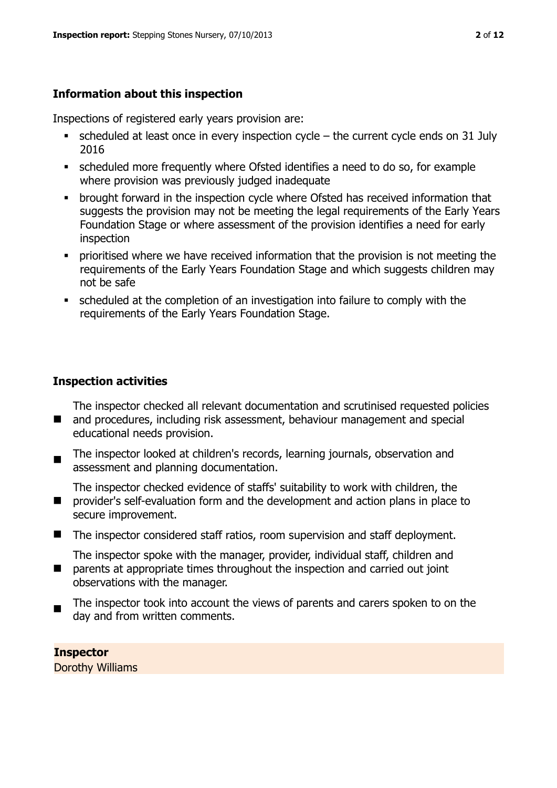# **Information about this inspection**

Inspections of registered early years provision are:

- $\bullet$  scheduled at least once in every inspection cycle the current cycle ends on 31 July 2016
- scheduled more frequently where Ofsted identifies a need to do so, for example where provision was previously judged inadequate
- **•** brought forward in the inspection cycle where Ofsted has received information that suggests the provision may not be meeting the legal requirements of the Early Years Foundation Stage or where assessment of the provision identifies a need for early inspection
- **•** prioritised where we have received information that the provision is not meeting the requirements of the Early Years Foundation Stage and which suggests children may not be safe
- scheduled at the completion of an investigation into failure to comply with the requirements of the Early Years Foundation Stage.

# **Inspection activities**

The inspector checked all relevant documentation and scrutinised requested policies

- and procedures, including risk assessment, behaviour management and special educational needs provision.
- $\blacksquare$ The inspector looked at children's records, learning journals, observation and assessment and planning documentation.
- $\blacksquare$ The inspector checked evidence of staffs' suitability to work with children, the provider's self-evaluation form and the development and action plans in place to secure improvement.
- The inspector considered staff ratios, room supervision and staff deployment.

The inspector spoke with the manager, provider, individual staff, children and

- $\blacksquare$ parents at appropriate times throughout the inspection and carried out joint observations with the manager.
- The inspector took into account the views of parents and carers spoken to on the day and from written comments.

**Inspector**  Dorothy Williams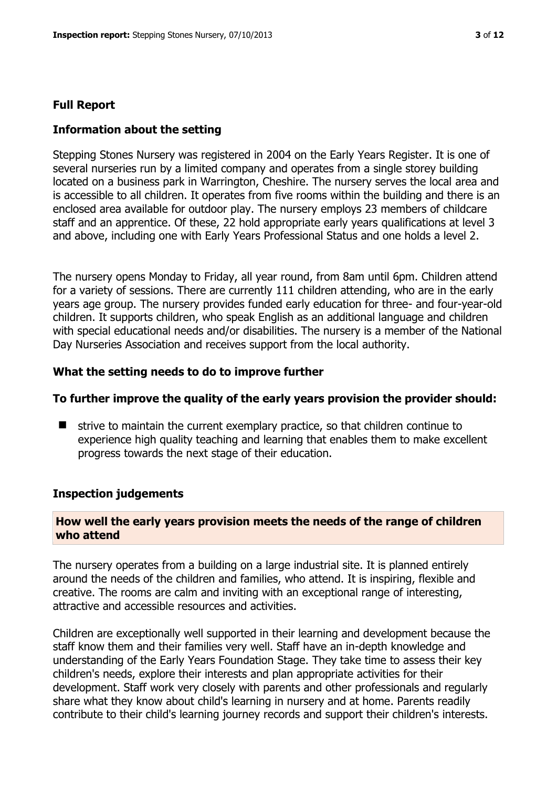#### **Full Report**

#### **Information about the setting**

Stepping Stones Nursery was registered in 2004 on the Early Years Register. It is one of several nurseries run by a limited company and operates from a single storey building located on a business park in Warrington, Cheshire. The nursery serves the local area and is accessible to all children. It operates from five rooms within the building and there is an enclosed area available for outdoor play. The nursery employs 23 members of childcare staff and an apprentice. Of these, 22 hold appropriate early years qualifications at level 3 and above, including one with Early Years Professional Status and one holds a level 2.

The nursery opens Monday to Friday, all year round, from 8am until 6pm. Children attend for a variety of sessions. There are currently 111 children attending, who are in the early years age group. The nursery provides funded early education for three- and four-year-old children. It supports children, who speak English as an additional language and children with special educational needs and/or disabilities. The nursery is a member of the National Day Nurseries Association and receives support from the local authority.

#### **What the setting needs to do to improve further**

#### **To further improve the quality of the early years provision the provider should:**

 strive to maintain the current exemplary practice, so that children continue to experience high quality teaching and learning that enables them to make excellent progress towards the next stage of their education.

#### **Inspection judgements**

#### **How well the early years provision meets the needs of the range of children who attend**

The nursery operates from a building on a large industrial site. It is planned entirely around the needs of the children and families, who attend. It is inspiring, flexible and creative. The rooms are calm and inviting with an exceptional range of interesting, attractive and accessible resources and activities.

Children are exceptionally well supported in their learning and development because the staff know them and their families very well. Staff have an in-depth knowledge and understanding of the Early Years Foundation Stage. They take time to assess their key children's needs, explore their interests and plan appropriate activities for their development. Staff work very closely with parents and other professionals and regularly share what they know about child's learning in nursery and at home. Parents readily contribute to their child's learning journey records and support their children's interests.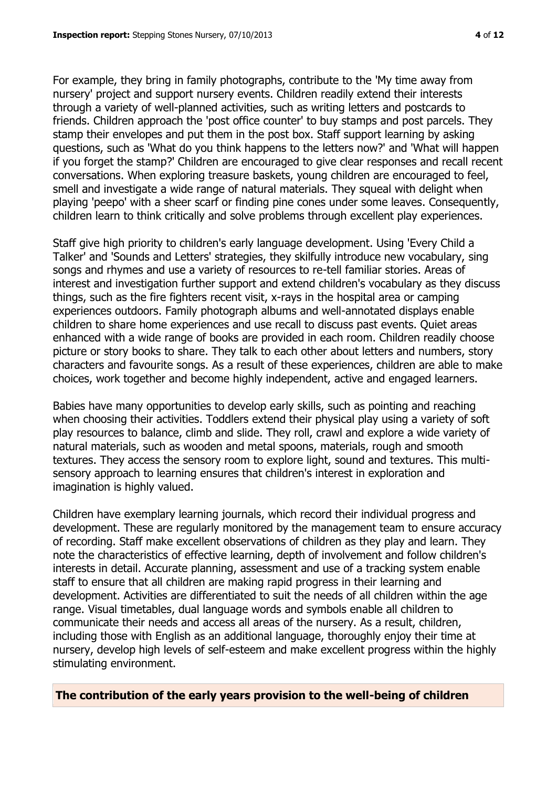For example, they bring in family photographs, contribute to the 'My time away from nursery' project and support nursery events. Children readily extend their interests through a variety of well-planned activities, such as writing letters and postcards to friends. Children approach the 'post office counter' to buy stamps and post parcels. They stamp their envelopes and put them in the post box. Staff support learning by asking questions, such as 'What do you think happens to the letters now?' and 'What will happen if you forget the stamp?' Children are encouraged to give clear responses and recall recent conversations. When exploring treasure baskets, young children are encouraged to feel, smell and investigate a wide range of natural materials. They squeal with delight when playing 'peepo' with a sheer scarf or finding pine cones under some leaves. Consequently, children learn to think critically and solve problems through excellent play experiences.

Staff give high priority to children's early language development. Using 'Every Child a Talker' and 'Sounds and Letters' strategies, they skilfully introduce new vocabulary, sing songs and rhymes and use a variety of resources to re-tell familiar stories. Areas of interest and investigation further support and extend children's vocabulary as they discuss things, such as the fire fighters recent visit, x-rays in the hospital area or camping experiences outdoors. Family photograph albums and well-annotated displays enable children to share home experiences and use recall to discuss past events. Quiet areas enhanced with a wide range of books are provided in each room. Children readily choose picture or story books to share. They talk to each other about letters and numbers, story characters and favourite songs. As a result of these experiences, children are able to make choices, work together and become highly independent, active and engaged learners.

Babies have many opportunities to develop early skills, such as pointing and reaching when choosing their activities. Toddlers extend their physical play using a variety of soft play resources to balance, climb and slide. They roll, crawl and explore a wide variety of natural materials, such as wooden and metal spoons, materials, rough and smooth textures. They access the sensory room to explore light, sound and textures. This multisensory approach to learning ensures that children's interest in exploration and imagination is highly valued.

Children have exemplary learning journals, which record their individual progress and development. These are regularly monitored by the management team to ensure accuracy of recording. Staff make excellent observations of children as they play and learn. They note the characteristics of effective learning, depth of involvement and follow children's interests in detail. Accurate planning, assessment and use of a tracking system enable staff to ensure that all children are making rapid progress in their learning and development. Activities are differentiated to suit the needs of all children within the age range. Visual timetables, dual language words and symbols enable all children to communicate their needs and access all areas of the nursery. As a result, children, including those with English as an additional language, thoroughly enjoy their time at nursery, develop high levels of self-esteem and make excellent progress within the highly stimulating environment.

**The contribution of the early years provision to the well-being of children**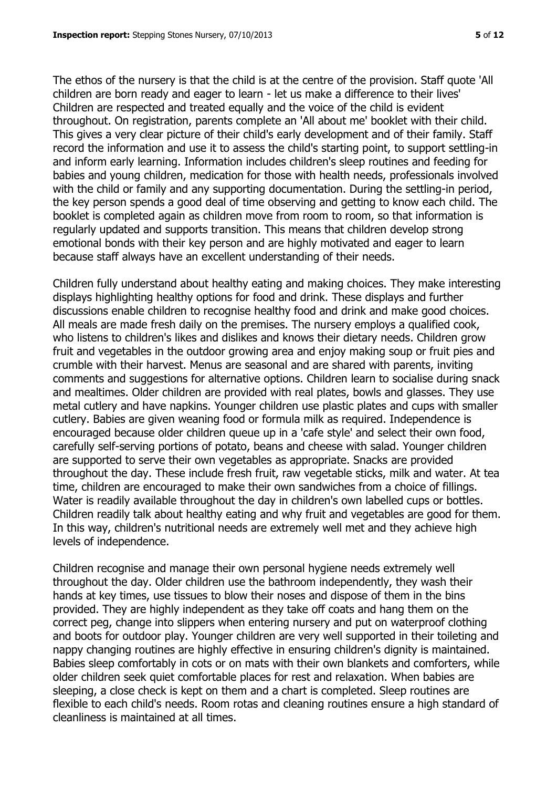The ethos of the nursery is that the child is at the centre of the provision. Staff quote 'All children are born ready and eager to learn - let us make a difference to their lives' Children are respected and treated equally and the voice of the child is evident throughout. On registration, parents complete an 'All about me' booklet with their child. This gives a very clear picture of their child's early development and of their family. Staff record the information and use it to assess the child's starting point, to support settling-in and inform early learning. Information includes children's sleep routines and feeding for babies and young children, medication for those with health needs, professionals involved with the child or family and any supporting documentation. During the settling-in period, the key person spends a good deal of time observing and getting to know each child. The booklet is completed again as children move from room to room, so that information is regularly updated and supports transition. This means that children develop strong emotional bonds with their key person and are highly motivated and eager to learn because staff always have an excellent understanding of their needs.

Children fully understand about healthy eating and making choices. They make interesting displays highlighting healthy options for food and drink. These displays and further discussions enable children to recognise healthy food and drink and make good choices. All meals are made fresh daily on the premises. The nursery employs a qualified cook, who listens to children's likes and dislikes and knows their dietary needs. Children grow fruit and vegetables in the outdoor growing area and enjoy making soup or fruit pies and crumble with their harvest. Menus are seasonal and are shared with parents, inviting comments and suggestions for alternative options. Children learn to socialise during snack and mealtimes. Older children are provided with real plates, bowls and glasses. They use metal cutlery and have napkins. Younger children use plastic plates and cups with smaller cutlery. Babies are given weaning food or formula milk as required. Independence is encouraged because older children queue up in a 'cafe style' and select their own food, carefully self-serving portions of potato, beans and cheese with salad. Younger children are supported to serve their own vegetables as appropriate. Snacks are provided throughout the day. These include fresh fruit, raw vegetable sticks, milk and water. At tea time, children are encouraged to make their own sandwiches from a choice of fillings. Water is readily available throughout the day in children's own labelled cups or bottles. Children readily talk about healthy eating and why fruit and vegetables are good for them. In this way, children's nutritional needs are extremely well met and they achieve high levels of independence.

Children recognise and manage their own personal hygiene needs extremely well throughout the day. Older children use the bathroom independently, they wash their hands at key times, use tissues to blow their noses and dispose of them in the bins provided. They are highly independent as they take off coats and hang them on the correct peg, change into slippers when entering nursery and put on waterproof clothing and boots for outdoor play. Younger children are very well supported in their toileting and nappy changing routines are highly effective in ensuring children's dignity is maintained. Babies sleep comfortably in cots or on mats with their own blankets and comforters, while older children seek quiet comfortable places for rest and relaxation. When babies are sleeping, a close check is kept on them and a chart is completed. Sleep routines are flexible to each child's needs. Room rotas and cleaning routines ensure a high standard of cleanliness is maintained at all times.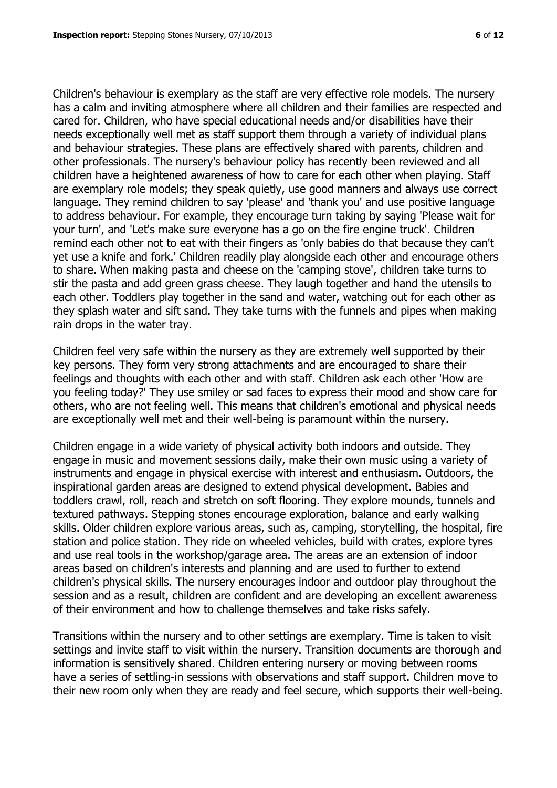Children's behaviour is exemplary as the staff are very effective role models. The nursery has a calm and inviting atmosphere where all children and their families are respected and cared for. Children, who have special educational needs and/or disabilities have their needs exceptionally well met as staff support them through a variety of individual plans and behaviour strategies. These plans are effectively shared with parents, children and other professionals. The nursery's behaviour policy has recently been reviewed and all children have a heightened awareness of how to care for each other when playing. Staff are exemplary role models; they speak quietly, use good manners and always use correct language. They remind children to say 'please' and 'thank you' and use positive language to address behaviour. For example, they encourage turn taking by saying 'Please wait for your turn', and 'Let's make sure everyone has a go on the fire engine truck'. Children remind each other not to eat with their fingers as 'only babies do that because they can't yet use a knife and fork.' Children readily play alongside each other and encourage others to share. When making pasta and cheese on the 'camping stove', children take turns to stir the pasta and add green grass cheese. They laugh together and hand the utensils to each other. Toddlers play together in the sand and water, watching out for each other as they splash water and sift sand. They take turns with the funnels and pipes when making rain drops in the water tray.

Children feel very safe within the nursery as they are extremely well supported by their key persons. They form very strong attachments and are encouraged to share their feelings and thoughts with each other and with staff. Children ask each other 'How are you feeling today?' They use smiley or sad faces to express their mood and show care for others, who are not feeling well. This means that children's emotional and physical needs are exceptionally well met and their well-being is paramount within the nursery.

Children engage in a wide variety of physical activity both indoors and outside. They engage in music and movement sessions daily, make their own music using a variety of instruments and engage in physical exercise with interest and enthusiasm. Outdoors, the inspirational garden areas are designed to extend physical development. Babies and toddlers crawl, roll, reach and stretch on soft flooring. They explore mounds, tunnels and textured pathways. Stepping stones encourage exploration, balance and early walking skills. Older children explore various areas, such as, camping, storytelling, the hospital, fire station and police station. They ride on wheeled vehicles, build with crates, explore tyres and use real tools in the workshop/garage area. The areas are an extension of indoor areas based on children's interests and planning and are used to further to extend children's physical skills. The nursery encourages indoor and outdoor play throughout the session and as a result, children are confident and are developing an excellent awareness of their environment and how to challenge themselves and take risks safely.

Transitions within the nursery and to other settings are exemplary. Time is taken to visit settings and invite staff to visit within the nursery. Transition documents are thorough and information is sensitively shared. Children entering nursery or moving between rooms have a series of settling-in sessions with observations and staff support. Children move to their new room only when they are ready and feel secure, which supports their well-being.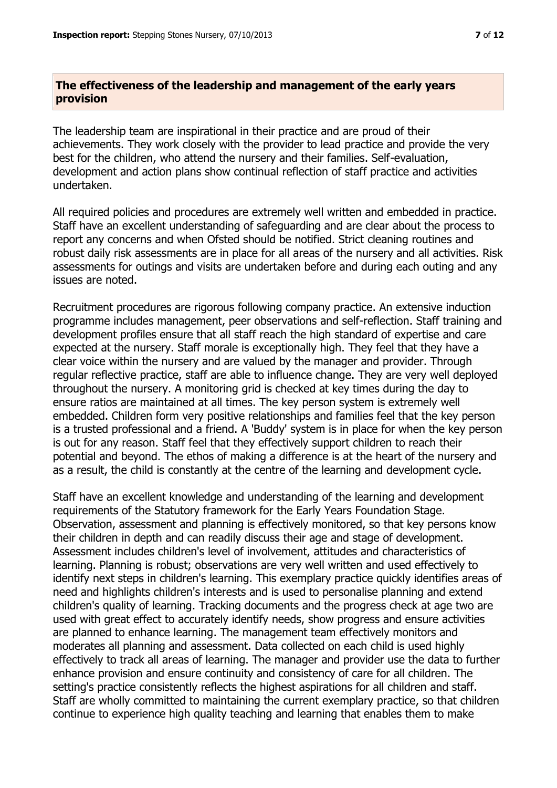# **The effectiveness of the leadership and management of the early years provision**

The leadership team are inspirational in their practice and are proud of their achievements. They work closely with the provider to lead practice and provide the very best for the children, who attend the nursery and their families. Self-evaluation, development and action plans show continual reflection of staff practice and activities undertaken.

All required policies and procedures are extremely well written and embedded in practice. Staff have an excellent understanding of safeguarding and are clear about the process to report any concerns and when Ofsted should be notified. Strict cleaning routines and robust daily risk assessments are in place for all areas of the nursery and all activities. Risk assessments for outings and visits are undertaken before and during each outing and any issues are noted.

Recruitment procedures are rigorous following company practice. An extensive induction programme includes management, peer observations and self-reflection. Staff training and development profiles ensure that all staff reach the high standard of expertise and care expected at the nursery. Staff morale is exceptionally high. They feel that they have a clear voice within the nursery and are valued by the manager and provider. Through regular reflective practice, staff are able to influence change. They are very well deployed throughout the nursery. A monitoring grid is checked at key times during the day to ensure ratios are maintained at all times. The key person system is extremely well embedded. Children form very positive relationships and families feel that the key person is a trusted professional and a friend. A 'Buddy' system is in place for when the key person is out for any reason. Staff feel that they effectively support children to reach their potential and beyond. The ethos of making a difference is at the heart of the nursery and as a result, the child is constantly at the centre of the learning and development cycle.

Staff have an excellent knowledge and understanding of the learning and development requirements of the Statutory framework for the Early Years Foundation Stage. Observation, assessment and planning is effectively monitored, so that key persons know their children in depth and can readily discuss their age and stage of development. Assessment includes children's level of involvement, attitudes and characteristics of learning. Planning is robust; observations are very well written and used effectively to identify next steps in children's learning. This exemplary practice quickly identifies areas of need and highlights children's interests and is used to personalise planning and extend children's quality of learning. Tracking documents and the progress check at age two are used with great effect to accurately identify needs, show progress and ensure activities are planned to enhance learning. The management team effectively monitors and moderates all planning and assessment. Data collected on each child is used highly effectively to track all areas of learning. The manager and provider use the data to further enhance provision and ensure continuity and consistency of care for all children. The setting's practice consistently reflects the highest aspirations for all children and staff. Staff are wholly committed to maintaining the current exemplary practice, so that children continue to experience high quality teaching and learning that enables them to make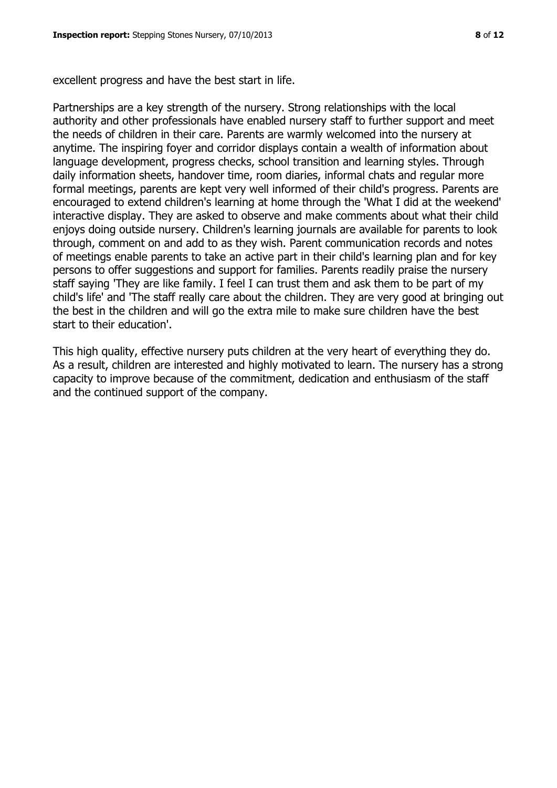excellent progress and have the best start in life.

Partnerships are a key strength of the nursery. Strong relationships with the local authority and other professionals have enabled nursery staff to further support and meet the needs of children in their care. Parents are warmly welcomed into the nursery at anytime. The inspiring foyer and corridor displays contain a wealth of information about language development, progress checks, school transition and learning styles. Through daily information sheets, handover time, room diaries, informal chats and regular more formal meetings, parents are kept very well informed of their child's progress. Parents are encouraged to extend children's learning at home through the 'What I did at the weekend' interactive display. They are asked to observe and make comments about what their child enjoys doing outside nursery. Children's learning journals are available for parents to look through, comment on and add to as they wish. Parent communication records and notes of meetings enable parents to take an active part in their child's learning plan and for key persons to offer suggestions and support for families. Parents readily praise the nursery staff saying 'They are like family. I feel I can trust them and ask them to be part of my child's life' and 'The staff really care about the children. They are very good at bringing out the best in the children and will go the extra mile to make sure children have the best start to their education'.

This high quality, effective nursery puts children at the very heart of everything they do. As a result, children are interested and highly motivated to learn. The nursery has a strong capacity to improve because of the commitment, dedication and enthusiasm of the staff and the continued support of the company.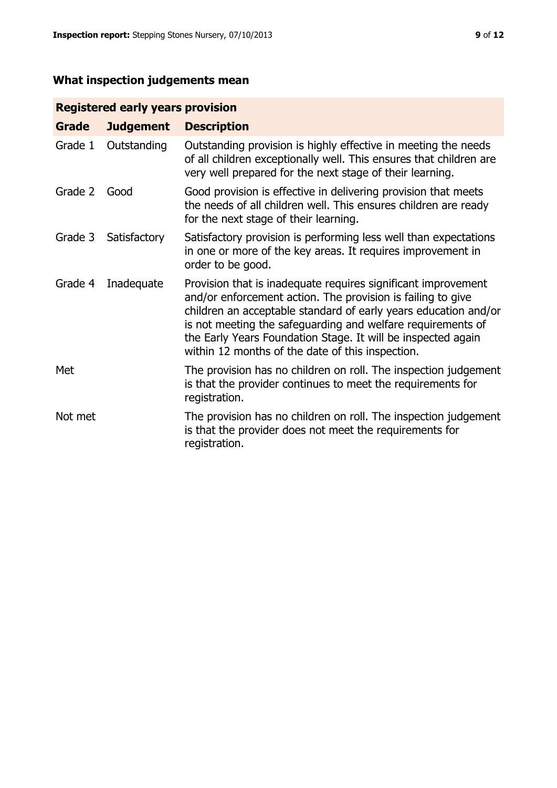# **What inspection judgements mean**

# **Registered early years provision**

| Grade   | <b>Judgement</b> | <b>Description</b>                                                                                                                                                                                                                                                                                                                                                                 |
|---------|------------------|------------------------------------------------------------------------------------------------------------------------------------------------------------------------------------------------------------------------------------------------------------------------------------------------------------------------------------------------------------------------------------|
| Grade 1 | Outstanding      | Outstanding provision is highly effective in meeting the needs<br>of all children exceptionally well. This ensures that children are<br>very well prepared for the next stage of their learning.                                                                                                                                                                                   |
| Grade 2 | Good             | Good provision is effective in delivering provision that meets<br>the needs of all children well. This ensures children are ready<br>for the next stage of their learning.                                                                                                                                                                                                         |
| Grade 3 | Satisfactory     | Satisfactory provision is performing less well than expectations<br>in one or more of the key areas. It requires improvement in<br>order to be good.                                                                                                                                                                                                                               |
| Grade 4 | Inadequate       | Provision that is inadequate requires significant improvement<br>and/or enforcement action. The provision is failing to give<br>children an acceptable standard of early years education and/or<br>is not meeting the safeguarding and welfare requirements of<br>the Early Years Foundation Stage. It will be inspected again<br>within 12 months of the date of this inspection. |
| Met     |                  | The provision has no children on roll. The inspection judgement<br>is that the provider continues to meet the requirements for<br>registration.                                                                                                                                                                                                                                    |
| Not met |                  | The provision has no children on roll. The inspection judgement<br>is that the provider does not meet the requirements for<br>registration.                                                                                                                                                                                                                                        |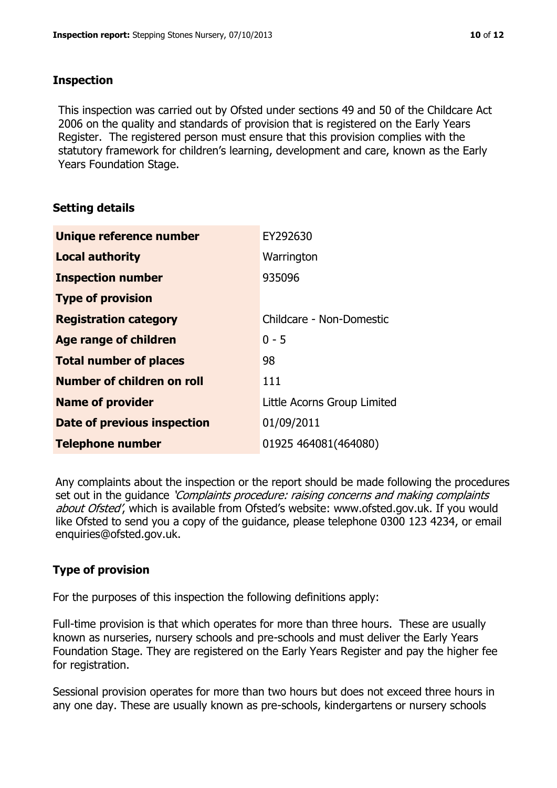#### **Inspection**

This inspection was carried out by Ofsted under sections 49 and 50 of the Childcare Act 2006 on the quality and standards of provision that is registered on the Early Years Register. The registered person must ensure that this provision complies with the statutory framework for children's learning, development and care, known as the Early Years Foundation Stage.

## **Setting details**

| Unique reference number            | EY292630                    |
|------------------------------------|-----------------------------|
| <b>Local authority</b>             | Warrington                  |
| <b>Inspection number</b>           | 935096                      |
| <b>Type of provision</b>           |                             |
| <b>Registration category</b>       | Childcare - Non-Domestic    |
| Age range of children              | $0 - 5$                     |
| <b>Total number of places</b>      | 98                          |
| Number of children on roll         | 111                         |
| <b>Name of provider</b>            | Little Acorns Group Limited |
| <b>Date of previous inspection</b> | 01/09/2011                  |
| <b>Telephone number</b>            | 01925 464081(464080)        |

Any complaints about the inspection or the report should be made following the procedures set out in the guidance *'Complaints procedure: raising concerns and making complaints* about Ofsted', which is available from Ofsted's website: www.ofsted.gov.uk. If you would like Ofsted to send you a copy of the guidance, please telephone 0300 123 4234, or email enquiries@ofsted.gov.uk.

## **Type of provision**

For the purposes of this inspection the following definitions apply:

Full-time provision is that which operates for more than three hours. These are usually known as nurseries, nursery schools and pre-schools and must deliver the Early Years Foundation Stage. They are registered on the Early Years Register and pay the higher fee for registration.

Sessional provision operates for more than two hours but does not exceed three hours in any one day. These are usually known as pre-schools, kindergartens or nursery schools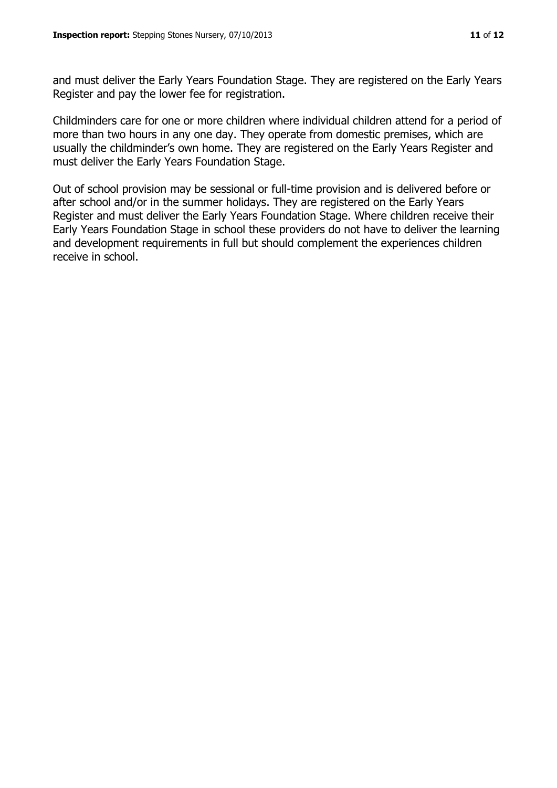and must deliver the Early Years Foundation Stage. They are registered on the Early Years Register and pay the lower fee for registration.

Childminders care for one or more children where individual children attend for a period of more than two hours in any one day. They operate from domestic premises, which are usually the childminder's own home. They are registered on the Early Years Register and must deliver the Early Years Foundation Stage.

Out of school provision may be sessional or full-time provision and is delivered before or after school and/or in the summer holidays. They are registered on the Early Years Register and must deliver the Early Years Foundation Stage. Where children receive their Early Years Foundation Stage in school these providers do not have to deliver the learning and development requirements in full but should complement the experiences children receive in school.